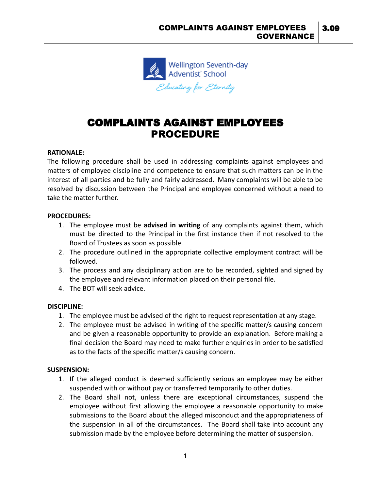

# COMPLAINTS AGAINST EMPLOYEES PROCEDURE

#### **RATIONALE:**

The following procedure shall be used in addressing complaints against employees and matters of employee discipline and competence to ensure that such matters can be in the interest of all parties and be fully and fairly addressed. Many complaints will be able to be resolved by discussion between the Principal and employee concerned without a need to take the matter further.

#### **PROCEDURES:**

- 1. The employee must be **advised in writing** of any complaints against them, which must be directed to the Principal in the first instance then if not resolved to the Board of Trustees as soon as possible.
- 2. The procedure outlined in the appropriate collective employment contract will be followed.
- 3. The process and any disciplinary action are to be recorded, sighted and signed by the employee and relevant information placed on their personal file.
- 4. The BOT will seek advice.

## **DISCIPLINE:**

- 1. The employee must be advised of the right to request representation at any stage.
- 2. The employee must be advised in writing of the specific matter/s causing concern and be given a reasonable opportunity to provide an explanation. Before making a final decision the Board may need to make further enquiries in order to be satisfied as to the facts of the specific matter/s causing concern.

## **SUSPENSION:**

- 1. If the alleged conduct is deemed sufficiently serious an employee may be either suspended with or without pay or transferred temporarily to other duties.
- 2. The Board shall not, unless there are exceptional circumstances, suspend the employee without first allowing the employee a reasonable opportunity to make submissions to the Board about the alleged misconduct and the appropriateness of the suspension in all of the circumstances. The Board shall take into account any submission made by the employee before determining the matter of suspension.